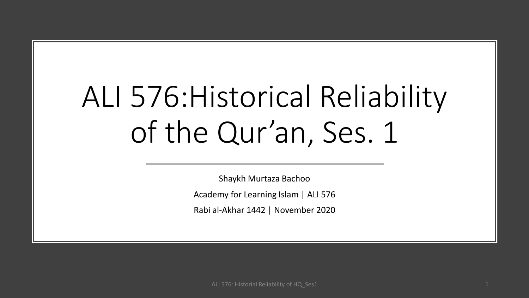# ALI 576:Historical Reliability of the Qur'an, Ses. 1

Shaykh Murtaza Bachoo Academy for Learning Islam | ALI 576 Rabi al-Akhar 1442 | November 2020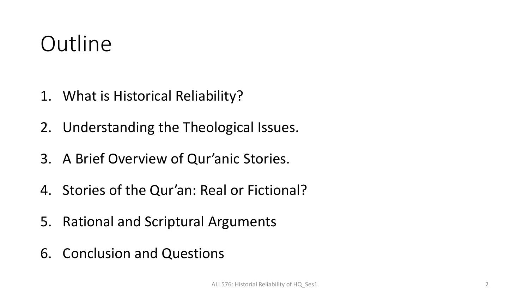### **Outline**

- 1. What is Historical Reliability?
- 2. Understanding the Theological Issues.
- 3. A Brief Overview of Qur'anic Stories.
- 4. Stories of the Qur'an: Real or Fictional?
- 5. Rational and Scriptural Arguments
- 6. Conclusion and Questions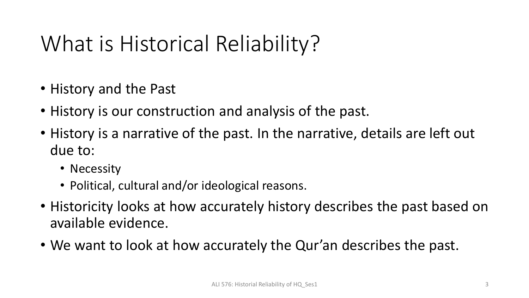## What is Historical Reliability?

- History and the Past
- History is our construction and analysis of the past.
- History is a narrative of the past. In the narrative, details are left out due to:
	- Necessity
	- Political, cultural and/or ideological reasons.
- Historicity looks at how accurately history describes the past based on available evidence.
- We want to look at how accurately the Qur'an describes the past.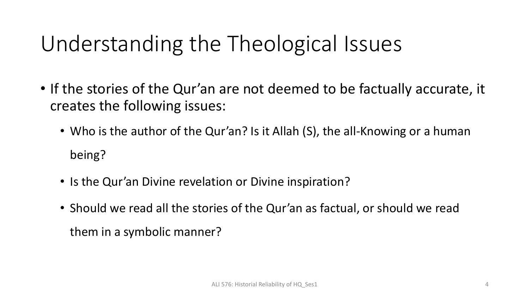## Understanding the Theological Issues

- If the stories of the Qur'an are not deemed to be factually accurate, it creates the following issues:
	- Who is the author of the Qur'an? Is it Allah (S), the all-Knowing or a human being?
	- Is the Qur'an Divine revelation or Divine inspiration?
	- Should we read all the stories of the Qur'an as factual, or should we read them in a symbolic manner?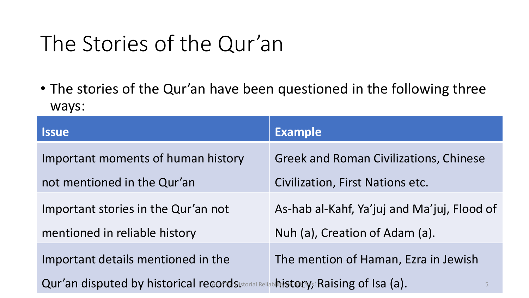#### The Stories of the Qur'an

• The stories of the Qur'an have been questioned in the following three ways:

| <b>Issue</b>                                                                         | <b>Example</b>                                |
|--------------------------------------------------------------------------------------|-----------------------------------------------|
| Important moments of human history                                                   | <b>Greek and Roman Civilizations, Chinese</b> |
| not mentioned in the Qur'an                                                          | <b>Civilization, First Nations etc.</b>       |
| Important stories in the Qur'an not                                                  | As-hab al-Kahf, Ya'juj and Ma'juj, Flood of   |
| mentioned in reliable history                                                        | Nuh (a), Creation of Adam (a).                |
| Important details mentioned in the                                                   | The mention of Haman, Ezra in Jewish          |
| Qur'an disputed by historical records storial Reliable istory, a Raising of Isa (a). | 5                                             |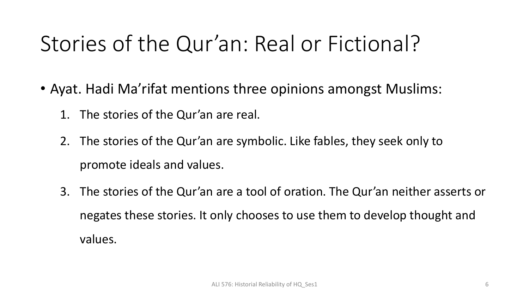## Stories of the Qur'an: Real or Fictional?

- Ayat. Hadi Ma'rifat mentions three opinions amongst Muslims:
	- 1. The stories of the Qur'an are real.
	- 2. The stories of the Qur'an are symbolic. Like fables, they seek only to promote ideals and values.
	- 3. The stories of the Qur'an are a tool of oration. The Qur'an neither asserts or negates these stories. It only chooses to use them to develop thought and values.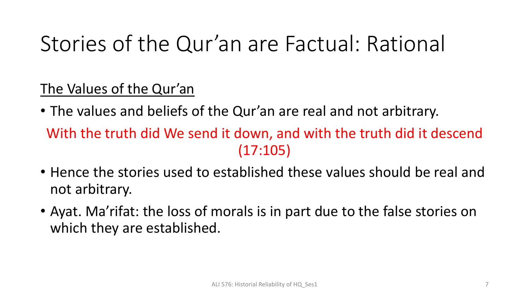### Stories of the Qur'an are Factual: Rational

The Values of the Qur'an

- The values and beliefs of the Qur'an are real and not arbitrary. With the truth did We send it down, and with the truth did it descend  $(17:105)$
- Hence the stories used to established these values should be real and not arbitrary.
- Ayat. Ma'rifat: the loss of morals is in part due to the false stories on which they are established.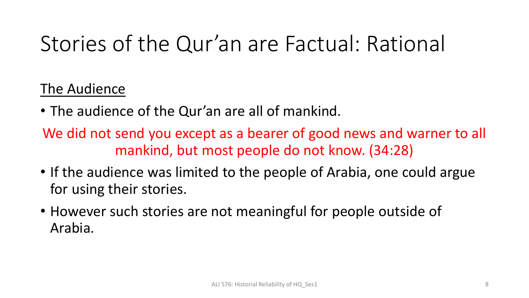## Stories of the Qur'an are Factual: Rational

#### The Audience

- The audience of the Qur'an are all of mankind.
- We did not send you except as a bearer of good news and warner to all mankind, but most people do not know. (34:28)
- If the audience was limited to the people of Arabia, one could argue for using their stories.
- However such stories are not meaningful for people outside of Arabia.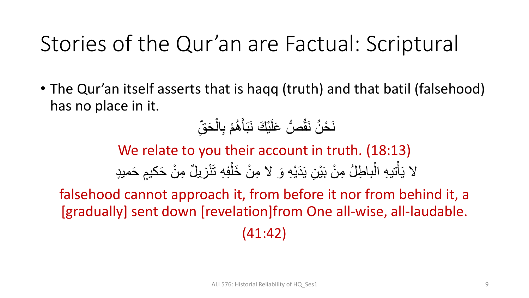#### Stories of the Qur'an are Factual: Scriptural

• The Qur'an itself asserts that is haqq (truth) and that batil (falsehood) has no place in it.

#### نَحْنُ نَقُصُّ عَلَيْكَ نَبَأَهُمْ بِالْحَقِّ ،<br>-ْ و<br>گھ َ **ّ** ُّ و<br>پ

We relate to you their account in truth. (18:13) لا يَأْتيهِ الْباطِلُ مِنْ بَيْنِ يَدَيْهِ وَ لا مِنْ خَلْفِهِ تَنْزِيلٌ مِنْ حَكيمٍ حَميدٍ ْ **ٔ** ْ **ّ** ْ ْ ہ<br>ار

falsehood cannot approach it, from before it nor from behind it, a [gradually] sent down [revelation]from One all-wise, all-laudable. (41:42)